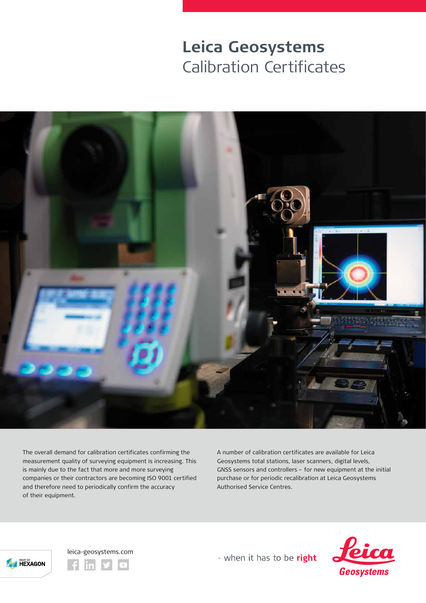## **Leica Geosystems**  Calibration Certificates



The overall demand for calibration certificates confirming the measurement quality of surveying equipment is increasing. This is mainly due to the fact that more and more surveying companies or their contractors are becoming ISO 9001 certified and therefore need to periodically confirm the accuracy of their equipment.

A number of calibration certificates are available for Leica Geosystems total stations, laser scanners, digital levels, GNSS sensors and controllers – for new equipment at the initial purchase or for periodic recalibration at Leica Geosystems Authorised Service Centres.





- when it has to be right